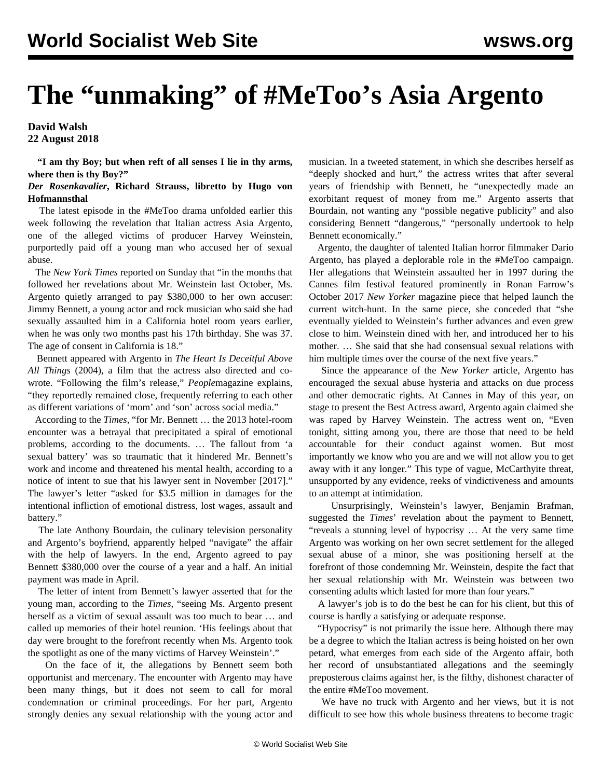## **The "unmaking" of #MeToo's Asia Argento**

## **David Walsh 22 August 2018**

 **"I am thy Boy; but when reft of all senses I lie in thy arms, where then is thy Boy?"**

## *Der Rosenkavalier***, Richard Strauss, libretto by Hugo von Hofmannsthal**

 The latest episode in the #MeToo drama unfolded earlier this week following the revelation that Italian actress Asia Argento, one of the alleged victims of producer Harvey Weinstein, purportedly paid off a young man who accused her of sexual abuse.

 The *New York Times* reported on Sunday that "in the months that followed her revelations about Mr. Weinstein last October, Ms. Argento quietly arranged to pay \$380,000 to her own accuser: Jimmy Bennett, a young actor and rock musician who said she had sexually assaulted him in a California hotel room years earlier, when he was only two months past his 17th birthday. She was 37. The age of consent in California is 18."

 Bennett appeared with Argento in *The Heart Is Deceitful Above All Things* (2004), a film that the actress also directed and cowrote. "Following the film's release," *People*magazine explains, "they reportedly remained close, frequently referring to each other as different variations of 'mom' and 'son' across social media."

 According to the *Times*, "for Mr. Bennett … the 2013 hotel-room encounter was a betrayal that precipitated a spiral of emotional problems, according to the documents. … The fallout from 'a sexual battery' was so traumatic that it hindered Mr. Bennett's work and income and threatened his mental health, according to a notice of intent to sue that his lawyer sent in November [2017]." The lawyer's letter "asked for \$3.5 million in damages for the intentional infliction of emotional distress, lost wages, assault and battery."

 The late Anthony Bourdain, the culinary television personality and Argento's boyfriend, apparently helped "navigate" the affair with the help of lawyers. In the end, Argento agreed to pay Bennett \$380,000 over the course of a year and a half. An initial payment was made in April.

 The letter of intent from Bennett's lawyer asserted that for the young man, according to the *Times*, "seeing Ms. Argento present herself as a victim of sexual assault was too much to bear … and called up memories of their hotel reunion. 'His feelings about that day were brought to the forefront recently when Ms. Argento took the spotlight as one of the many victims of Harvey Weinstein'."

 On the face of it, the allegations by Bennett seem both opportunist and mercenary. The encounter with Argento may have been many things, but it does not seem to call for moral condemnation or criminal proceedings. For her part, Argento strongly denies any sexual relationship with the young actor and musician. In a tweeted statement, in which she describes herself as "deeply shocked and hurt," the actress writes that after several years of friendship with Bennett, he "unexpectedly made an exorbitant request of money from me." Argento asserts that Bourdain, not wanting any "possible negative publicity" and also considering Bennett "dangerous," "personally undertook to help Bennett economically."

 Argento, the daughter of talented Italian horror filmmaker Dario Argento, has played a deplorable role in the #MeToo campaign. Her allegations that Weinstein assaulted her in 1997 during the Cannes film festival featured prominently in Ronan Farrow's October 2017 *New Yorker* magazine piece that helped launch the current witch-hunt. In the same piece, she conceded that "she eventually yielded to Weinstein's further advances and even grew close to him. Weinstein dined with her, and introduced her to his mother. … She said that she had consensual sexual relations with him multiple times over the course of the next five years."

 Since the appearance of the *New Yorker* article, Argento has encouraged the sexual abuse hysteria and attacks on due process and other democratic rights. At Cannes in May of this year, on stage to present the Best Actress award, Argento again claimed she was raped by Harvey Weinstein. The actress went on, "Even tonight, sitting among you, there are those that need to be held accountable for their conduct against women. But most importantly we know who you are and we will not allow you to get away with it any longer." This type of vague, McCarthyite threat, unsupported by any evidence, reeks of vindictiveness and amounts to an attempt at intimidation.

 Unsurprisingly, Weinstein's lawyer, Benjamin Brafman, suggested the *Times*' revelation about the payment to Bennett, "reveals a stunning level of hypocrisy … At the very same time Argento was working on her own secret settlement for the alleged sexual abuse of a minor, she was positioning herself at the forefront of those condemning Mr. Weinstein, despite the fact that her sexual relationship with Mr. Weinstein was between two consenting adults which lasted for more than four years."

 A lawyer's job is to do the best he can for his client, but this of course is hardly a satisfying or adequate response.

 "Hypocrisy" is not primarily the issue here. Although there may be a degree to which the Italian actress is being hoisted on her own petard, what emerges from each side of the Argento affair, both her record of unsubstantiated allegations and the seemingly preposterous claims against her, is the filthy, dishonest character of the entire #MeToo movement.

 We have no truck with Argento and her views, but it is not difficult to see how this whole business threatens to become tragic